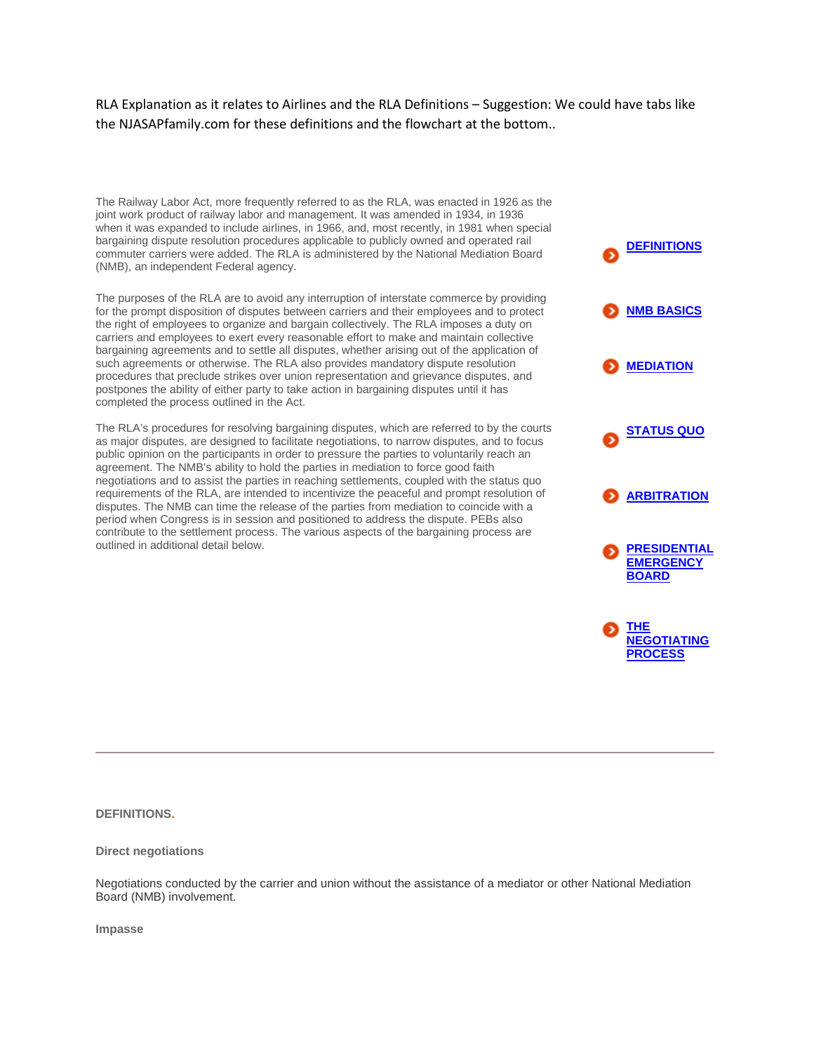RLA Explanation as it relates to Airlines and the RLA Definitions – Suggestion: We could have tabs like the NJASAPfamily.com for these definitions and the flowchart at the bottom..

The Railway Labor Act, more frequently referred to as the RLA, was enacted in 1926 as the joint work product of railway labor and management. It was amended in 1934, in 1936 when it was expanded to include airlines, in 1966, and, most recently, in 1981 when special bargaining dispute resolution procedures applicable to publicly owned and operated rail commuter carriers were added. The RLA is administered by the National Mediation Board (NMB), an independent Federal agency.

The purposes of the RLA are to avoid any interruption of interstate commerce by providing for the prompt disposition of disputes between carriers and their employees and to protect the right of employees to organize and bargain collectively. The RLA imposes a duty on carriers and employees to exert every reasonable effort to make and maintain collective bargaining agreements and to settle all disputes, whether arising out of the application of such agreements or otherwise. The RLA also provides mandatory dispute resolution procedures that preclude strikes over union representation and grievance disputes, and postpones the ability of either party to take action in bargaining disputes until it has completed the process outlined in the Act.

The RLA's procedures for resolving bargaining disputes, which are referred to by the courts as major disputes, are designed to facilitate negotiations, to narrow disputes, and to focus public opinion on the participants in order to pressure the parties to voluntarily reach an agreement. The NMB's ability to hold the parties in mediation to force good faith negotiations and to assist the parties in reaching settlements, coupled with the status quo requirements of the RLA, are intended to incentivize the peaceful and prompt resolution of disputes. The NMB can time the release of the parties from mediation to coincide with a period when Congress is in session and positioned to address the dispute. PEBs also contribute to the settlement process. The various aspects of the bargaining process are outlined in additional detail below.



**DEFINITIONS.**

**Direct negotiations**

Negotiations conducted by the carrier and union without the assistance of a mediator or other National Mediation Board (NMB) involvement.

**Impasse**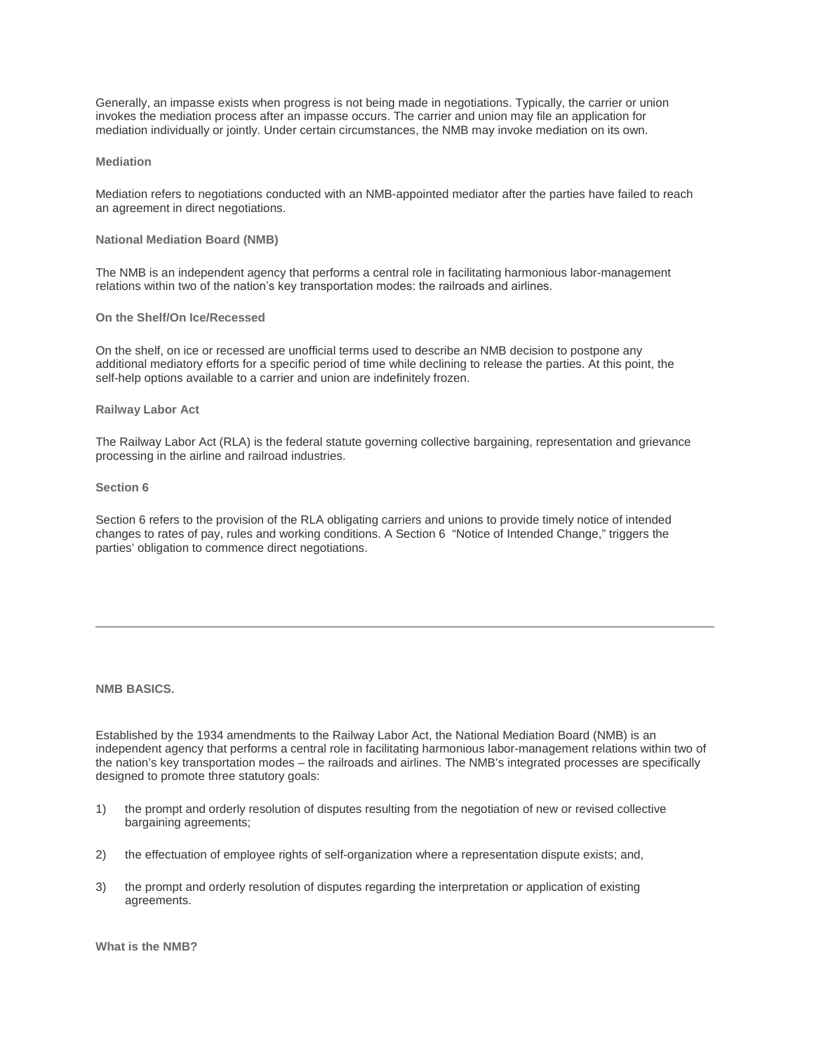Generally, an impasse exists when progress is not being made in negotiations. Typically, the carrier or union invokes the mediation process after an impasse occurs. The carrier and union may file an application for mediation individually or jointly. Under certain circumstances, the NMB may invoke mediation on its own.

### **Mediation**

Mediation refers to negotiations conducted with an NMB-appointed mediator after the parties have failed to reach an agreement in direct negotiations.

# **National Mediation Board (NMB)**

The NMB is an independent agency that performs a central role in facilitating harmonious labor-management relations within two of the nation's key transportation modes: the railroads and airlines.

#### **On the Shelf/On Ice/Recessed**

On the shelf, on ice or recessed are unofficial terms used to describe an NMB decision to postpone any additional mediatory efforts for a specific period of time while declining to release the parties. At this point, the self-help options available to a carrier and union are indefinitely frozen.

#### **Railway Labor Act**

The Railway Labor Act (RLA) is the federal statute governing collective bargaining, representation and grievance processing in the airline and railroad industries.

#### **Section 6**

Section 6 refers to the provision of the RLA obligating carriers and unions to provide timely notice of intended changes to rates of pay, rules and working conditions. A Section 6 "Notice of Intended Change," triggers the parties' obligation to commence direct negotiations.

**NMB BASICS.**

Established by the 1934 amendments to the Railway Labor Act, the National Mediation Board (NMB) is an independent agency that performs a central role in facilitating harmonious labor-management relations within two of the nation's key transportation modes – the railroads and airlines. The NMB's integrated processes are specifically designed to promote three statutory goals:

- 1) the prompt and orderly resolution of disputes resulting from the negotiation of new or revised collective bargaining agreements;
- 2) the effectuation of employee rights of self-organization where a representation dispute exists; and,
- 3) the prompt and orderly resolution of disputes regarding the interpretation or application of existing agreements.

**What is the NMB?**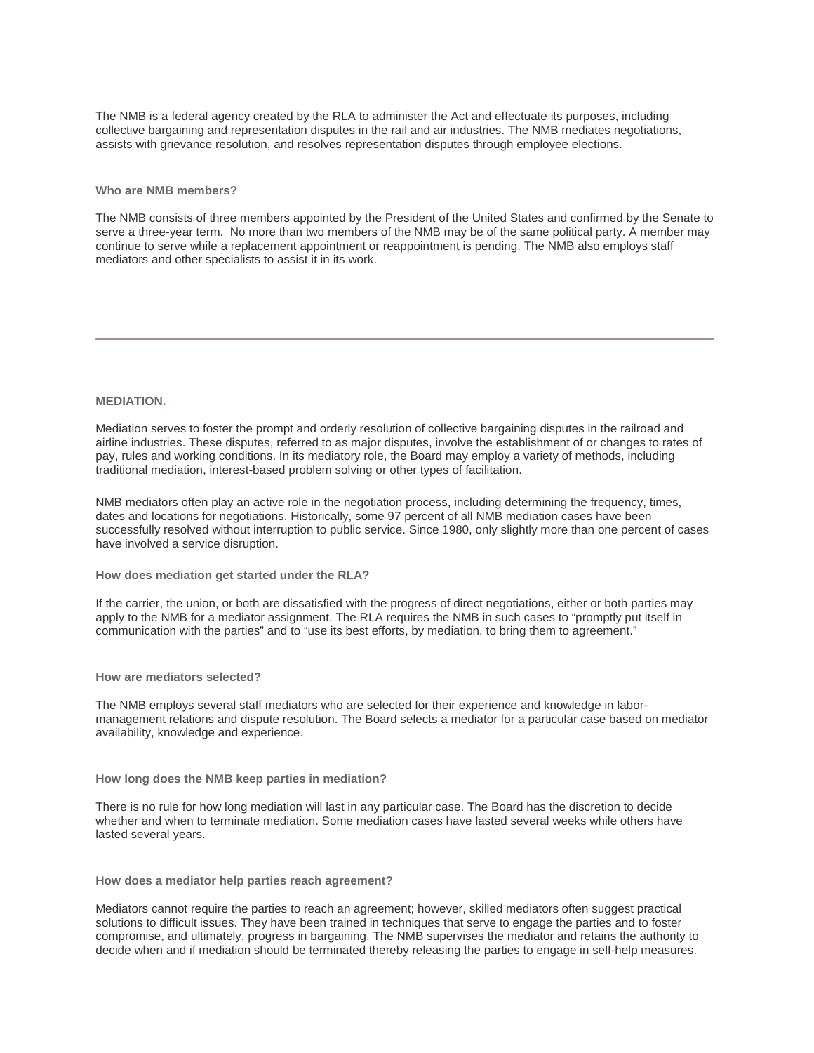The NMB is a federal agency created by the RLA to administer the Act and effectuate its purposes, including collective bargaining and representation disputes in the rail and air industries. The NMB mediates negotiations, assists with grievance resolution, and resolves representation disputes through employee elections.

### **Who are NMB members?**

The NMB consists of three members appointed by the President of the United States and confirmed by the Senate to serve a three-year term. No more than two members of the NMB may be of the same political party. A member may continue to serve while a replacement appointment or reappointment is pending. The NMB also employs staff mediators and other specialists to assist it in its work.

### **MEDIATION.**

Mediation serves to foster the prompt and orderly resolution of collective bargaining disputes in the railroad and airline industries. These disputes, referred to as major disputes, involve the establishment of or changes to rates of pay, rules and working conditions. In its mediatory role, the Board may employ a variety of methods, including traditional mediation, interest-based problem solving or other types of facilitation.

NMB mediators often play an active role in the negotiation process, including determining the frequency, times, dates and locations for negotiations. Historically, some 97 percent of all NMB mediation cases have been successfully resolved without interruption to public service. Since 1980, only slightly more than one percent of cases have involved a service disruption.

**How does mediation get started under the RLA?**

If the carrier, the union, or both are dissatisfied with the progress of direct negotiations, either or both parties may apply to the NMB for a mediator assignment. The RLA requires the NMB in such cases to "promptly put itself in communication with the parties" and to "use its best efforts, by mediation, to bring them to agreement."

**How are mediators selected?**

The NMB employs several staff mediators who are selected for their experience and knowledge in labormanagement relations and dispute resolution. The Board selects a mediator for a particular case based on mediator availability, knowledge and experience.

**How long does the NMB keep parties in mediation?**

There is no rule for how long mediation will last in any particular case. The Board has the discretion to decide whether and when to terminate mediation. Some mediation cases have lasted several weeks while others have lasted several years.

**How does a mediator help parties reach agreement?**

Mediators cannot require the parties to reach an agreement; however, skilled mediators often suggest practical solutions to difficult issues. They have been trained in techniques that serve to engage the parties and to foster compromise, and ultimately, progress in bargaining. The NMB supervises the mediator and retains the authority to decide when and if mediation should be terminated thereby releasing the parties to engage in self-help measures.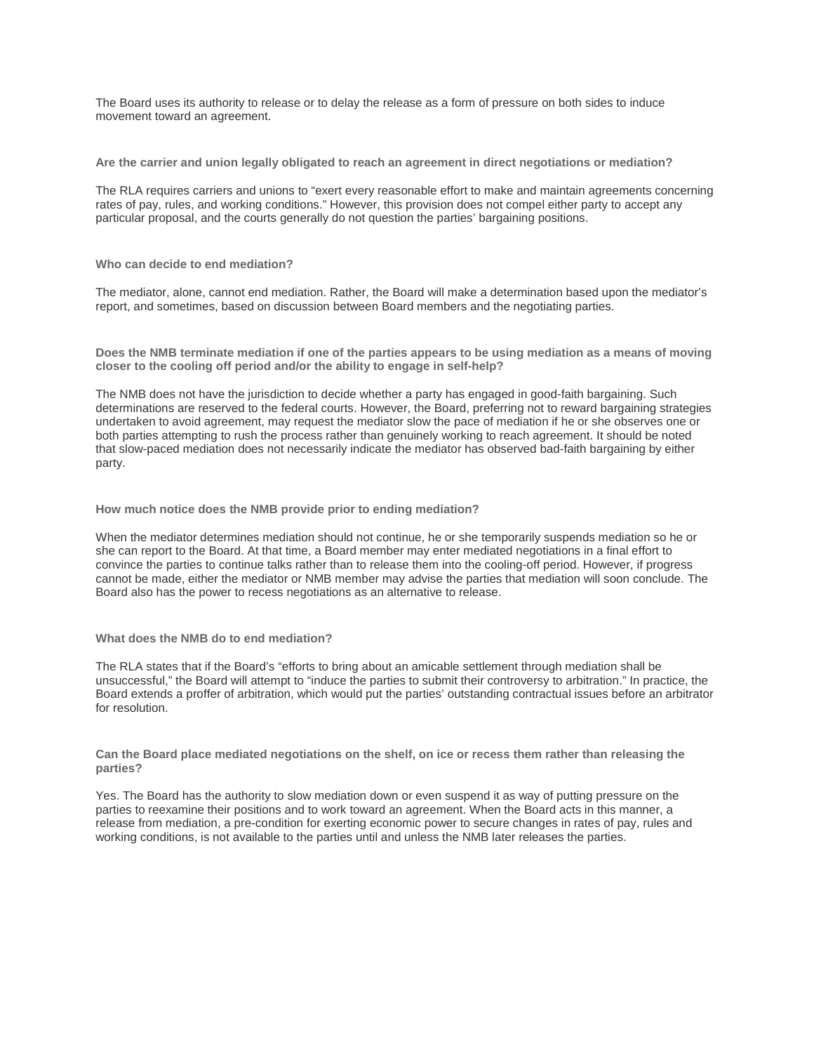The Board uses its authority to release or to delay the release as a form of pressure on both sides to induce movement toward an agreement.

**Are the carrier and union legally obligated to reach an agreement in direct negotiations or mediation?**

The RLA requires carriers and unions to "exert every reasonable effort to make and maintain agreements concerning rates of pay, rules, and working conditions." However, this provision does not compel either party to accept any particular proposal, and the courts generally do not question the parties' bargaining positions.

**Who can decide to end mediation?**

The mediator, alone, cannot end mediation. Rather, the Board will make a determination based upon the mediator's report, and sometimes, based on discussion between Board members and the negotiating parties.

**Does the NMB terminate mediation if one of the parties appears to be using mediation as a means of moving closer to the cooling off period and/or the ability to engage in self-help?**

The NMB does not have the jurisdiction to decide whether a party has engaged in good-faith bargaining. Such determinations are reserved to the federal courts. However, the Board, preferring not to reward bargaining strategies undertaken to avoid agreement, may request the mediator slow the pace of mediation if he or she observes one or both parties attempting to rush the process rather than genuinely working to reach agreement. It should be noted that slow-paced mediation does not necessarily indicate the mediator has observed bad-faith bargaining by either party.

**How much notice does the NMB provide prior to ending mediation?**

When the mediator determines mediation should not continue, he or she temporarily suspends mediation so he or she can report to the Board. At that time, a Board member may enter mediated negotiations in a final effort to convince the parties to continue talks rather than to release them into the cooling-off period. However, if progress cannot be made, either the mediator or NMB member may advise the parties that mediation will soon conclude. The Board also has the power to recess negotiations as an alternative to release.

#### **What does the NMB do to end mediation?**

The RLA states that if the Board's "efforts to bring about an amicable settlement through mediation shall be unsuccessful," the Board will attempt to "induce the parties to submit their controversy to arbitration." In practice, the Board extends a proffer of arbitration, which would put the parties' outstanding contractual issues before an arbitrator for resolution.

**Can the Board place mediated negotiations on the shelf, on ice or recess them rather than releasing the parties?**

Yes. The Board has the authority to slow mediation down or even suspend it as way of putting pressure on the parties to reexamine their positions and to work toward an agreement. When the Board acts in this manner, a release from mediation, a pre-condition for exerting economic power to secure changes in rates of pay, rules and working conditions, is not available to the parties until and unless the NMB later releases the parties.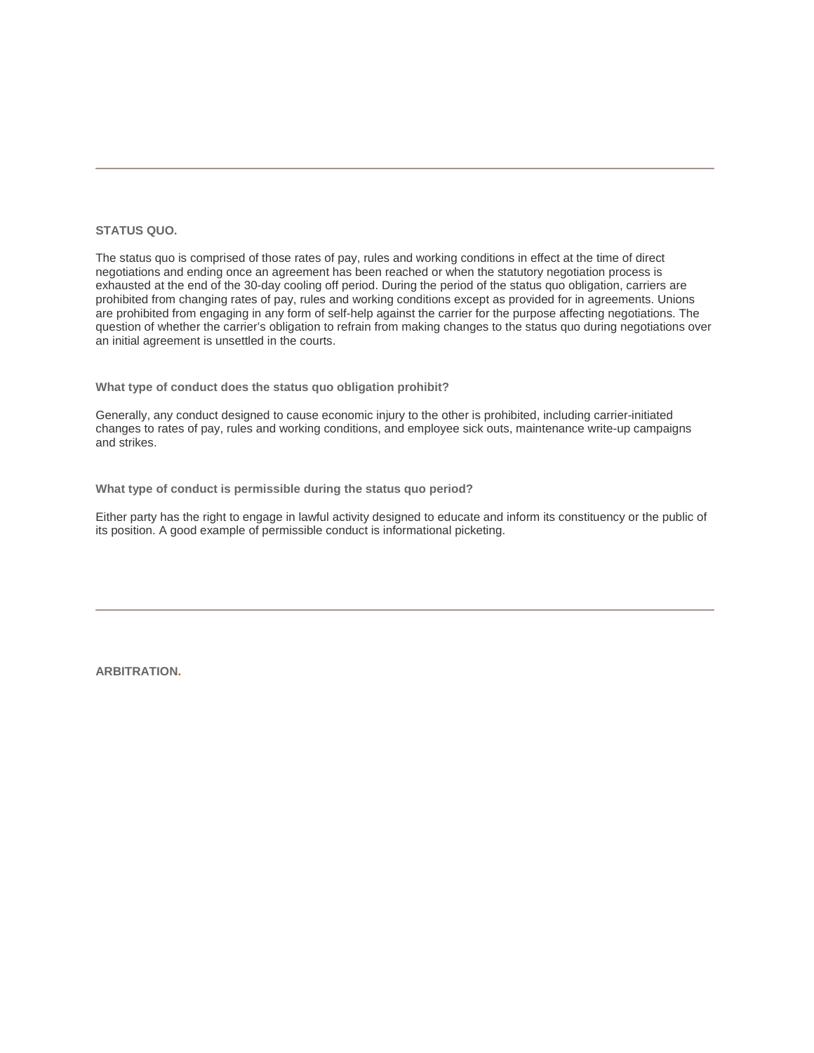## **STATUS QUO.**

The status quo is comprised of those rates of pay, rules and working conditions in effect at the time of direct negotiations and ending once an agreement has been reached or when the statutory negotiation process is exhausted at the end of the 30-day cooling off period. During the period of the status quo obligation, carriers are prohibited from changing rates of pay, rules and working conditions except as provided for in agreements. Unions are prohibited from engaging in any form of self-help against the carrier for the purpose affecting negotiations. The question of whether the carrier's obligation to refrain from making changes to the status quo during negotiations over an initial agreement is unsettled in the courts.

**What type of conduct does the status quo obligation prohibit?**

Generally, any conduct designed to cause economic injury to the other is prohibited, including carrier-initiated changes to rates of pay, rules and working conditions, and employee sick outs, maintenance write-up campaigns and strikes.

**What type of conduct is permissible during the status quo period?**

Either party has the right to engage in lawful activity designed to educate and inform its constituency or the public of its position. A good example of permissible conduct is informational picketing.

**ARBITRATION.**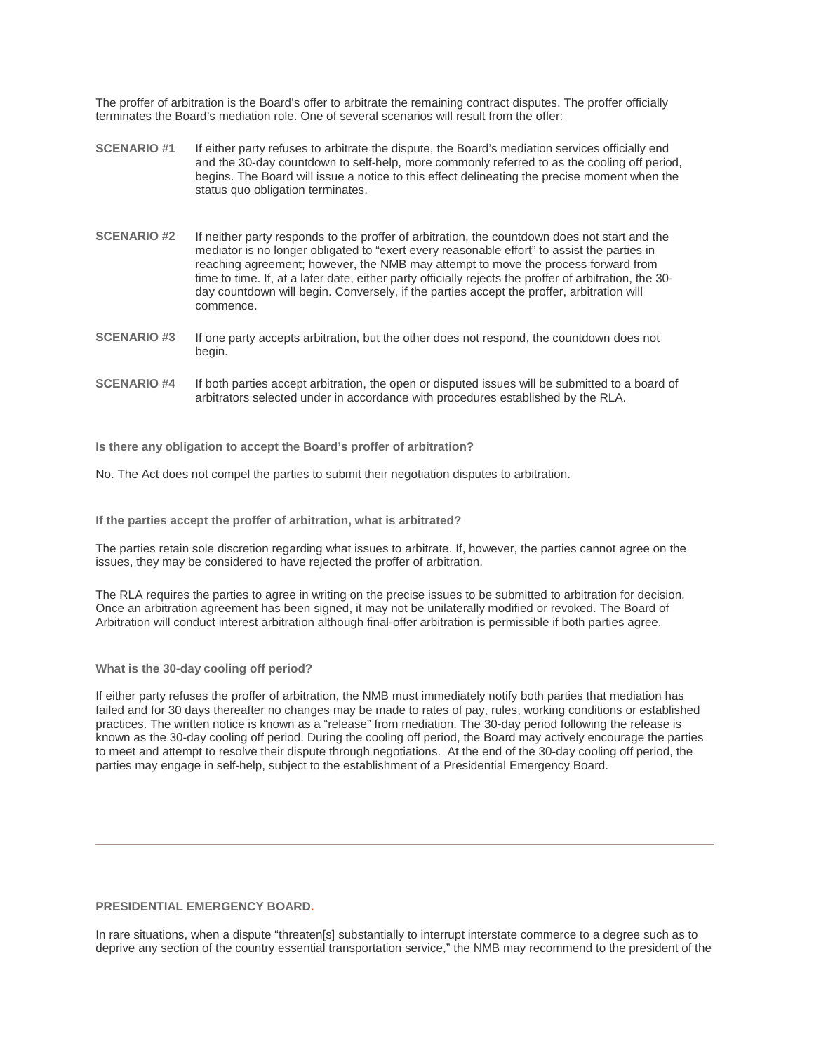The proffer of arbitration is the Board's offer to arbitrate the remaining contract disputes. The proffer officially terminates the Board's mediation role. One of several scenarios will result from the offer:

- **SCENARIO #1** If either party refuses to arbitrate the dispute, the Board's mediation services officially end and the 30-day countdown to self-help, more commonly referred to as the cooling off period, begins. The Board will issue a notice to this effect delineating the precise moment when the status quo obligation terminates.
- **SCENARIO #2** If neither party responds to the proffer of arbitration, the countdown does not start and the mediator is no longer obligated to "exert every reasonable effort" to assist the parties in reaching agreement; however, the NMB may attempt to move the process forward from time to time. If, at a later date, either party officially rejects the proffer of arbitration, the 30 day countdown will begin. Conversely, if the parties accept the proffer, arbitration will commence.
- **SCENARIO #3** If one party accepts arbitration, but the other does not respond, the countdown does not begin.
- **SCENARIO #4** If both parties accept arbitration, the open or disputed issues will be submitted to a board of arbitrators selected under in accordance with procedures established by the RLA.

**Is there any obligation to accept the Board's proffer of arbitration?**

No. The Act does not compel the parties to submit their negotiation disputes to arbitration.

**If the parties accept the proffer of arbitration, what is arbitrated?**

The parties retain sole discretion regarding what issues to arbitrate. If, however, the parties cannot agree on the issues, they may be considered to have rejected the proffer of arbitration.

The RLA requires the parties to agree in writing on the precise issues to be submitted to arbitration for decision. Once an arbitration agreement has been signed, it may not be unilaterally modified or revoked. The Board of Arbitration will conduct interest arbitration although final-offer arbitration is permissible if both parties agree.

# **What is the 30-day cooling off period?**

If either party refuses the proffer of arbitration, the NMB must immediately notify both parties that mediation has failed and for 30 days thereafter no changes may be made to rates of pay, rules, working conditions or established practices. The written notice is known as a "release" from mediation. The 30-day period following the release is known as the 30-day cooling off period. During the cooling off period, the Board may actively encourage the parties to meet and attempt to resolve their dispute through negotiations. At the end of the 30-day cooling off period, the parties may engage in self-help, subject to the establishment of a Presidential Emergency Board.

# **PRESIDENTIAL EMERGENCY BOARD.**

In rare situations, when a dispute "threaten[s] substantially to interrupt interstate commerce to a degree such as to deprive any section of the country essential transportation service," the NMB may recommend to the president of the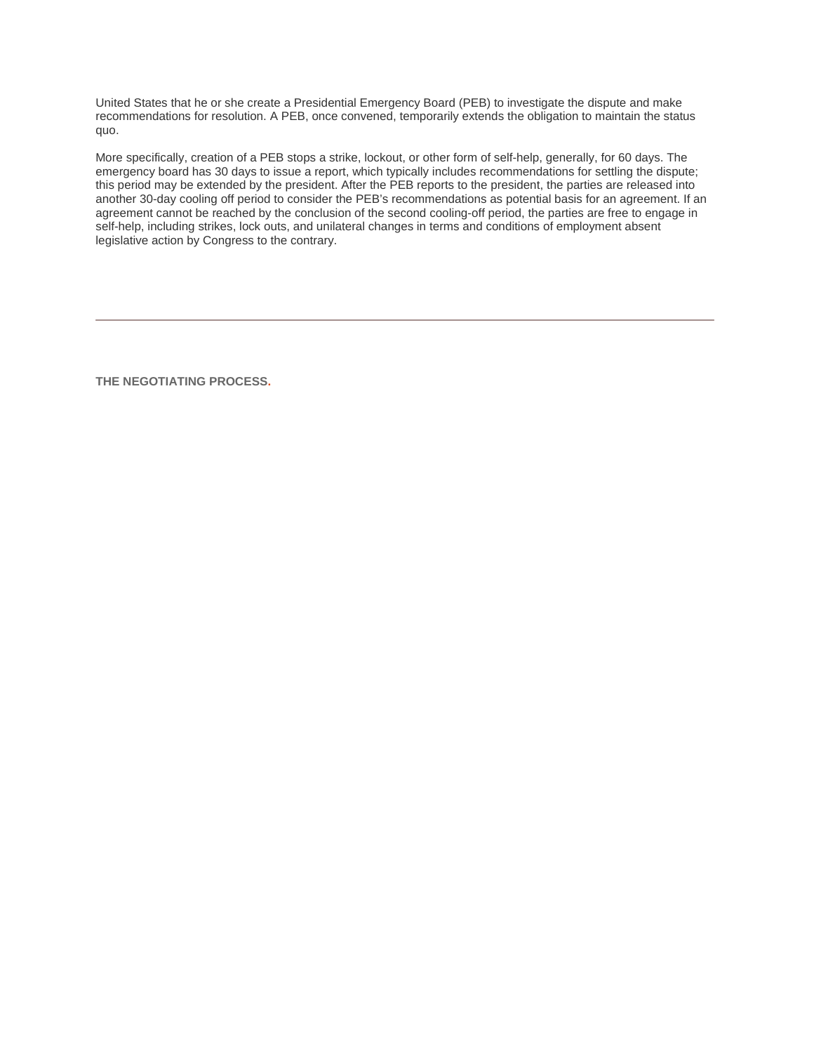United States that he or she create a Presidential Emergency Board (PEB) to investigate the dispute and make recommendations for resolution. A PEB, once convened, temporarily extends the obligation to maintain the status quo.

More specifically, creation of a PEB stops a strike, lockout, or other form of self-help, generally, for 60 days. The emergency board has 30 days to issue a report, which typically includes recommendations for settling the dispute; this period may be extended by the president. After the PEB reports to the president, the parties are released into another 30-day cooling off period to consider the PEB's recommendations as potential basis for an agreement. If an agreement cannot be reached by the conclusion of the second cooling-off period, the parties are free to engage in self-help, including strikes, lock outs, and unilateral changes in terms and conditions of employment absent legislative action by Congress to the contrary.

**THE NEGOTIATING PROCESS.**